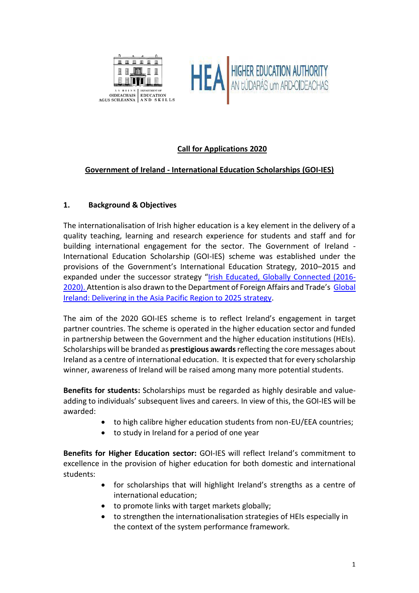



# **Call for Applications 2020**

## **Government of Ireland - International Education Scholarships (GOI-IES)**

### **1. Background & Objectives**

The internationalisation of Irish higher education is a key element in the delivery of a quality teaching, learning and research experience for students and staff and for building international engagement for the sector. The Government of Ireland - International Education Scholarship (GOI-IES) scheme was established under the provisions of the Government's International Education Strategy, 2010–2015 and expanded under the successor strategy "[Irish Educated, Globally Connected \(2016-](https://www.education.ie/en/Publications/Policy-Reports/International-Education-Strategy-For-Ireland-2016-2020.pdf) 2020). [Attention is also drawn to the Department of Foreign Affairs and Trade's](https://www.education.ie/en/Publications/Policy-Reports/International-Education-Strategy-For-Ireland-2016-2020.pdf) [Global](https://www.dfa.ie/media/dfa/ourrolepolicies/strategies/asiapacific/Asia-Pacific-Strategy.pdf)  [Ireland: Delivering in the Asia Pacific Region to 2025 strategy.](https://www.dfa.ie/media/dfa/ourrolepolicies/strategies/asiapacific/Asia-Pacific-Strategy.pdf)

The aim of the 2020 GOI-IES scheme is to reflect Ireland's engagement in target partner countries. The scheme is operated in the higher education sector and funded in partnership between the Government and the higher education institutions (HEIs). Scholarships will be branded as **prestigious awards**reflecting the core messages about Ireland as a centre of international education. It is expected that for every scholarship winner, awareness of Ireland will be raised among many more potential students.

**Benefits for students:** Scholarships must be regarded as highly desirable and valueadding to individuals' subsequent lives and careers. In view of this, the GOI-IES will be awarded:

- to high calibre higher education students from non-EU/EEA countries;
- to study in Ireland for a period of one year

**Benefits for Higher Education sector:** GOI-IES will reflect Ireland's commitment to excellence in the provision of higher education for both domestic and international students:

- for scholarships that will highlight Ireland's strengths as a centre of international education;
- to promote links with target markets globally;
- to strengthen the internationalisation strategies of HEIs especially in the context of the system performance framework.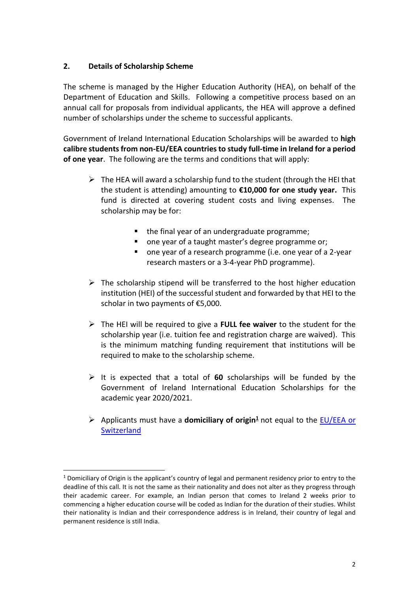### **2. Details of Scholarship Scheme**

The scheme is managed by the Higher Education Authority (HEA), on behalf of the Department of Education and Skills. Following a competitive process based on an annual call for proposals from individual applicants, the HEA will approve a defined number of scholarships under the scheme to successful applicants.

Government of Ireland International Education Scholarships will be awarded to **high calibre students from non-EU/EEA countries to study full-time in Ireland for a period of one year**. The following are the terms and conditions that will apply:

- $\triangleright$  The HEA will award a scholarship fund to the student (through the HEI that the student is attending) amounting to **€10,000 for one study year.** This fund is directed at covering student costs and living expenses. The scholarship may be for:
	- the final year of an undergraduate programme;
	- one year of a taught master's degree programme or;
	- one year of a research programme (i.e. one year of a 2-year research masters or a 3-4-year PhD programme).
- $\triangleright$  The scholarship stipend will be transferred to the host higher education institution (HEI) of the successful student and forwarded by that HEI to the scholar in two payments of €5,000.
- ➢ The HEI will be required to give a **FULL fee waiver** to the student for the scholarship year (i.e. tuition fee and registration charge are waived). This is the minimum matching funding requirement that institutions will be required to make to the scholarship scheme.
- ➢ It is expected that a total of **60** scholarships will be funded by the Government of Ireland International Education Scholarships for the academic year 2020/2021.
- ➢ Applicants must have a **domiciliary of origin<sup>1</sup>** not equal to the [EU/EEA](http://www.inis.gov.ie/en/INIS/Pages/eu-eea-countries) or **Switzerland**

 $1$  Domiciliary of Origin is the applicant's country of legal and permanent residency prior to entry to the deadline of this call. It is not the same as their nationality and does not alter as they progress through their academic career. For example, an Indian person that comes to Ireland 2 weeks prior to commencing a higher education course will be coded as Indian for the duration of their studies. Whilst their nationality is Indian and their correspondence address is in Ireland, their country of legal and permanent residence is still India.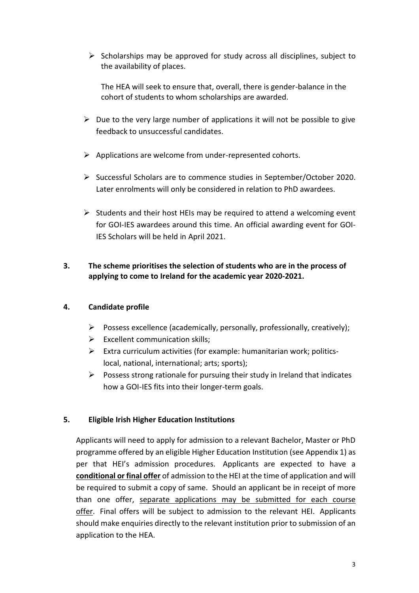$\triangleright$  Scholarships may be approved for study across all disciplines, subject to the availability of places.

The HEA will seek to ensure that, overall, there is gender-balance in the cohort of students to whom scholarships are awarded.

- $\triangleright$  Due to the very large number of applications it will not be possible to give feedback to unsuccessful candidates.
- $\triangleright$  Applications are welcome from under-represented cohorts.
- ➢ Successful Scholars are to commence studies in September/October 2020. Later enrolments will only be considered in relation to PhD awardees.
- $\triangleright$  Students and their host HEIs may be required to attend a welcoming event for GOI-IES awardees around this time. An official awarding event for GOI-IES Scholars will be held in April 2021.

### **3. The scheme prioritises the selection of students who are in the process of applying to come to Ireland for the academic year 2020-2021.**

## **4. Candidate profile**

- ➢ Possess excellence (academically, personally, professionally, creatively);
- $\triangleright$  Excellent communication skills;
- $\triangleright$  Extra curriculum activities (for example: humanitarian work; politicslocal, national, international; arts; sports);
- $\triangleright$  Possess strong rationale for pursuing their study in Ireland that indicates how a GOI-IES fits into their longer-term goals.

## **5. Eligible Irish Higher Education Institutions**

Applicants will need to apply for admission to a relevant Bachelor, Master or PhD programme offered by an eligible Higher Education Institution (see Appendix 1) as per that HEI's admission procedures. Applicants are expected to have a **conditional or final offer** of admission to the HEI at the time of application and will be required to submit a copy of same. Should an applicant be in receipt of more than one offer, separate applications may be submitted for each course offer. Final offers will be subject to admission to the relevant HEI. Applicants should make enquiries directly to the relevant institution prior to submission of an application to the HEA.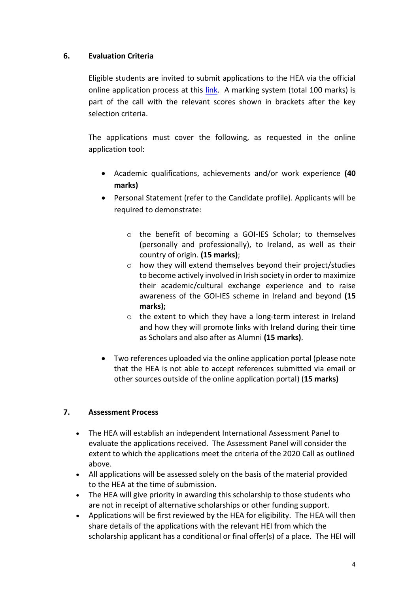### **6. Evaluation Criteria**

Eligible students are invited to submit applications to the HEA via the official online application process at this [link.](https://webportalapp.com/sp/login/heagrantapplication) A marking system (total 100 marks) is part of the call with the relevant scores shown in brackets after the key selection criteria.

The applications must cover the following, as requested in the online application tool:

- Academic qualifications, achievements and/or work experience **(40 marks)**
- Personal Statement (refer to the Candidate profile). Applicants will be required to demonstrate:
	- o the benefit of becoming a GOI-IES Scholar; to themselves (personally and professionally), to Ireland, as well as their country of origin. **(15 marks)**;
	- o how they will extend themselves beyond their project/studies to become actively involved in Irish society in order to maximize their academic/cultural exchange experience and to raise awareness of the GOI-IES scheme in Ireland and beyond **(15 marks);**
	- o the extent to which they have a long-term interest in Ireland and how they will promote links with Ireland during their time as Scholars and also after as Alumni **(15 marks)**.
- Two references uploaded via the online application portal (please note that the HEA is not able to accept references submitted via email or other sources outside of the online application portal) (**15 marks)**

### **7. Assessment Process**

- The HEA will establish an independent International Assessment Panel to evaluate the applications received. The Assessment Panel will consider the extent to which the applications meet the criteria of the 2020 Call as outlined above.
- All applications will be assessed solely on the basis of the material provided to the HEA at the time of submission.
- The HEA will give priority in awarding this scholarship to those students who are not in receipt of alternative scholarships or other funding support.
- Applications will be first reviewed by the HEA for eligibility. The HEA will then share details of the applications with the relevant HEI from which the scholarship applicant has a conditional or final offer(s) of a place. The HEI will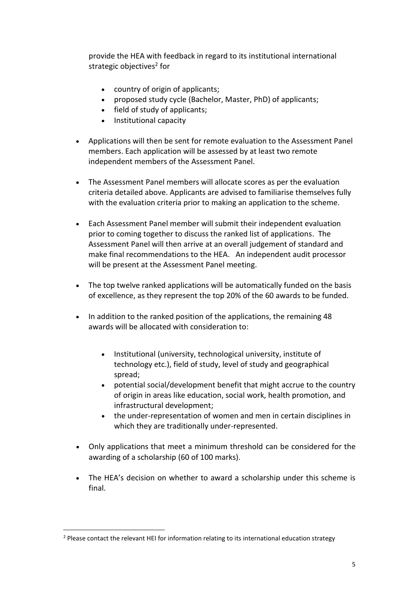provide the HEA with feedback in regard to its institutional international strategic objectives<sup>2</sup> for

- country of origin of applicants;
- proposed study cycle (Bachelor, Master, PhD) of applicants;
- field of study of applicants;
- Institutional capacity
- Applications will then be sent for remote evaluation to the Assessment Panel members. Each application will be assessed by at least two remote independent members of the Assessment Panel.
- The Assessment Panel members will allocate scores as per the evaluation criteria detailed above. Applicants are advised to familiarise themselves fully with the evaluation criteria prior to making an application to the scheme.
- Each Assessment Panel member will submit their independent evaluation prior to coming together to discuss the ranked list of applications. The Assessment Panel will then arrive at an overall judgement of standard and make final recommendations to the HEA. An independent audit processor will be present at the Assessment Panel meeting.
- The top twelve ranked applications will be automatically funded on the basis of excellence, as they represent the top 20% of the 60 awards to be funded.
- In addition to the ranked position of the applications, the remaining 48 awards will be allocated with consideration to:
	- Institutional (university, technological university, institute of technology etc.), field of study, level of study and geographical spread;
	- potential social/development benefit that might accrue to the country of origin in areas like education, social work, health promotion, and infrastructural development;
	- the under-representation of women and men in certain disciplines in which they are traditionally under-represented.
- Only applications that meet a minimum threshold can be considered for the awarding of a scholarship (60 of 100 marks).
- The HEA's decision on whether to award a scholarship under this scheme is final.

<sup>&</sup>lt;sup>2</sup> Please contact the relevant HEI for information relating to its international education strategy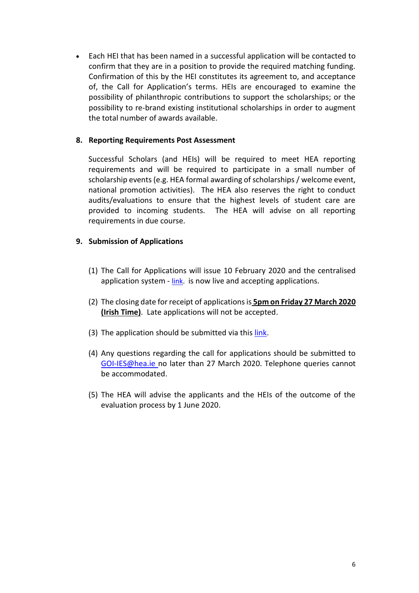• Each HEI that has been named in a successful application will be contacted to confirm that they are in a position to provide the required matching funding. Confirmation of this by the HEI constitutes its agreement to, and acceptance of, the Call for Application's terms. HEIs are encouraged to examine the possibility of philanthropic contributions to support the scholarships; or the possibility to re-brand existing institutional scholarships in order to augment the total number of awards available.

#### **8. Reporting Requirements Post Assessment**

Successful Scholars (and HEIs) will be required to meet HEA reporting requirements and will be required to participate in a small number of scholarship events (e.g. HEA formal awarding of scholarships / welcome event, national promotion activities). The HEA also reserves the right to conduct audits/evaluations to ensure that the highest levels of student care are provided to incoming students. The HEA will advise on all reporting requirements in due course.

#### **9. Submission of Applications**

- (1) The Call for Applications will issue 10 February 2020 and the centralised application system - [link.](https://webportalapp.com/sp/login/heagrantapplication) is now live and accepting applications.
- (2) The closing date for receipt of applicationsis **5pm on Friday 27 March 2020 (Irish Time)**. Late applications will not be accepted.
- (3) The application should be submitted via this [link.](https://webportalapp.com/sp/login/heagrantapplication)
- (4) Any questions regarding the call for applications should be submitted to [GOI-IES@hea.ie](mailto:GOI-IES@hea.ie) no later than 27 March 2020. Telephone queries cannot be accommodated.
- (5) The HEA will advise the applicants and the HEIs of the outcome of the evaluation process by 1 June 2020.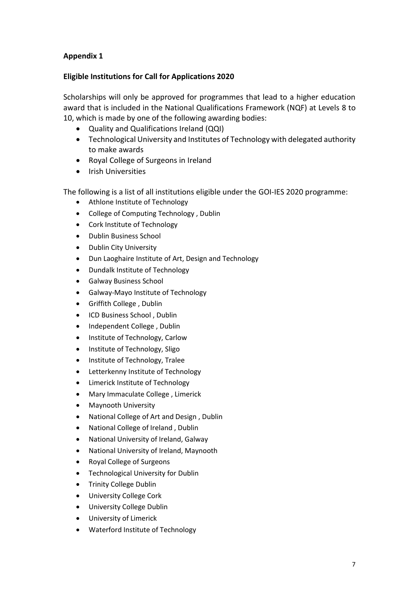### **Appendix 1**

#### **Eligible Institutions for Call for Applications 2020**

Scholarships will only be approved for programmes that lead to a higher education award that is included in the National Qualifications Framework (NQF) at Levels 8 to 10, which is made by one of the following awarding bodies:

- Quality and Qualifications Ireland (QQI)
- Technological University and Institutes of Technology with delegated authority to make awards
- Royal College of Surgeons in Ireland
- Irish Universities

The following is a list of all institutions eligible under the GOI-IES 2020 programme:

- Athlone Institute of Technology
- College of Computing Technology , Dublin
- Cork Institute of Technology
- Dublin Business School
- Dublin City University
- Dun Laoghaire Institute of Art, Design and Technology
- Dundalk Institute of Technology
- Galway Business School
- Galway-Mayo Institute of Technology
- Griffith College , Dublin
- ICD Business School , Dublin
- Independent College , Dublin
- Institute of Technology, Carlow
- Institute of Technology, Sligo
- Institute of Technology, Tralee
- Letterkenny Institute of Technology
- Limerick Institute of Technology
- Mary Immaculate College , Limerick
- Maynooth University
- National College of Art and Design , Dublin
- National College of Ireland , Dublin
- National University of Ireland, Galway
- National University of Ireland, Maynooth
- Royal College of Surgeons
- Technological University for Dublin
- Trinity College Dublin
- University College Cork
- University College Dublin
- University of Limerick
- Waterford Institute of Technology